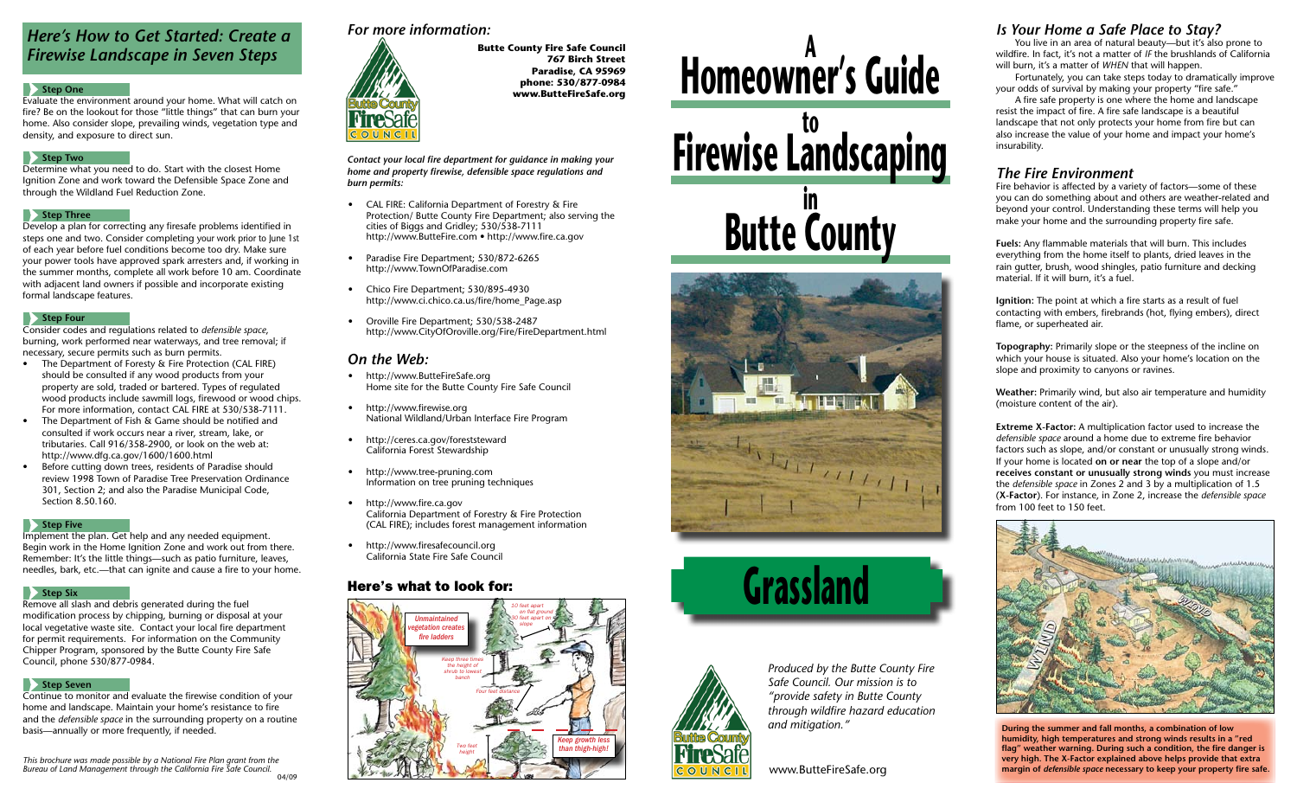# **Homeowner's Guide <sup>A</sup> Firewise Landscaping Butte County in**







*Contact your local fire department for guidance in making your home and property firewise, defensible space regulations and burn permits:*

- • CAL FIRE: California Department of Forestry & Fire Protection/ Butte County Fire Department; also serving the cities of Biggs and Gridley; 530/538-7111 http://www.ButteFire.com • http://www.fire.ca.gov
- Paradise Fire Department; 530/872-6265 http://www.TownOfParadise.com
- Chico Fire Department; 530/895-4930 http://www.ci.chico.ca.us/fire/home\_Page.asp
- Oroville Fire Department; 530/538-2487 http://www.CityOfOroville.org/Fire/FireDepartment.html

- http://www.ButteFireSafe.org Home site for the Butte County Fire Safe Council
- http://www.firewise.org National Wildland/Urban Interface Fire Program
- http://ceres.ca.gov/foreststeward California Forest Stewardship
- http://www.tree-pruning.com Information on tree pruning techniques
- http://www.fire.ca.gov California Department of Forestry & Fire Protection (CAL FIRE); includes forest management information
- http://www.firesafecouncil.org California State Fire Safe Council

# *On the Web:*

# *For more information:*



**Butte County Fire Safe Council 767 Birch Street Paradise, CA 95969 phone: 530/877-0984 www.ButteFireSafe.org**

## Here's what to look for:

# *Here's How to Get Started: Create a Firewise Landscape in Seven Steps*

#### **Step One**

- The Department of Foresty & Fire Protection (CAL FIRE) should be consulted if any wood products from your property are sold, traded or bartered. Types of regulated wood products include sawmill logs, firewood or wood chips. For more information, contact CAL FIRE at 530/538-7111.
- The Department of Fish & Game should be notified and consulted if work occurs near a river, stream, lake, or tributaries. Call 916/358-2900, or look on the web at: http://www.dfg.ca.gov/1600/1600.html
- Before cutting down trees, residents of Paradise should review 1998 Town of Paradise Tree Preservation Ordinance 301, Section 2; and also the Paradise Municipal Code, Section 8.50.160.

#### **Step Five**

Evaluate the environment around your home. What will catch on fire? Be on the lookout for those "little things" that can burn your home. Also consider slope, prevailing winds, vegetation type and density, and exposure to direct sun.

#### **Step Two**

Determine what you need to do. Start with the closest Home Ignition Zone and work toward the Defensible Space Zone and through the Wildland Fuel Reduction Zone.

#### **Step Three**

Develop a plan for correcting any firesafe problems identified in steps one and two. Consider completing your work prior to June 1st of each year before fuel conditions become too dry. Make sure your power tools have approved spark arresters and, if working in the summer months, complete all work before 10 am. Coordinate with adjacent land owners if possible and incorporate existing formal landscape features.

#### **Step Four**

Consider codes and regulations related to *defensible space*, burning, work performed near waterways, and tree removal; if necessary, secure permits such as burn permits.



Implement the plan. Get help and any needed equipment. Begin work in the Home Ignition Zone and work out from there. Remember: It's the little things—such as patio furniture, leaves, needles, bark, etc.—that can ignite and cause a fire to your home.

#### **Step Six**

Remove all slash and debris generated during the fuel modification process by chipping, burning or disposal at your local vegetative waste site. Contact your local fire department for permit requirements. For information on the Community Chipper Program, sponsored by the Butte County Fire Safe Council, phone 530/877-0984.

#### **Step Seven**

Continue to monitor and evaluate the firewise condition of your home and landscape. Maintain your home's resistance to fire and the *defensible space* in the surrounding property on a routine basis—annually or more frequently, if needed.

*Produced by the Butte County Fire Safe Council. Our mission is to "provide safety in Butte County through wildfire hazard education and mitigation."*

## *Is Your Home a Safe Place to Stay?*

 You live in an area of natural beauty—but it's also prone to wildfire. In fact, it's not a matter of *if* the brushlands of California will burn, it's a matter of *when* that will happen.

 Fortunately, you can take steps today to dramatically improve your odds of survival by making your property "fire safe."

 A fire safe property is one where the home and landscape resist the impact of fire. A fire safe landscape is a beautiful landscape that not only protects your home from fire but can also increase the value of your home and impact your home's insurability.

# *The Fire Environment*

Fire behavior is affected by a variety of factors—some of these you can do something about and others are weather-related and beyond your control. Understanding these terms will help you make your home and the surrounding property fire safe.

**Fuels:** Any flammable materials that will burn. This includes everything from the home itself to plants, dried leaves in the rain gutter, brush, wood shingles, patio furniture and decking material. If it will burn, it's a fuel.

**Ignition:** The point at which a fire starts as a result of fuel contacting with embers, firebrands (hot, flying embers), direct flame, or superheated air.

**Topography:** Primarily slope or the steepness of the incline on which your house is situated. Also your home's location on the slope and proximity to canyons or ravines.

**Weather:** Primarily wind, but also air temperature and humidity (moisture content of the air).

**Extreme X-Factor:** A multiplication factor used to increase the *defensible space* around a home due to extreme fire behavior factors such as slope, and/or constant or unusually strong winds. If your home is located **on or near** the top of a slope and/or **receives constant or unusually strong winds** you must increase the *defensible space* in Zones 2 and 3 by a multiplication of 1.5 (**X-Factor**). For instance, in Zone 2, increase the *defensible space* from 100 feet to 150 feet.



**During the summer and fall months, a combination of low humidity, high temperatures and strong winds results in a "red flag" weather warning. During such a condition, the fire danger is very high. The X-Factor explained above helps provide that extra margin of** *defensible space* **necessary to keep your property fire safe.**